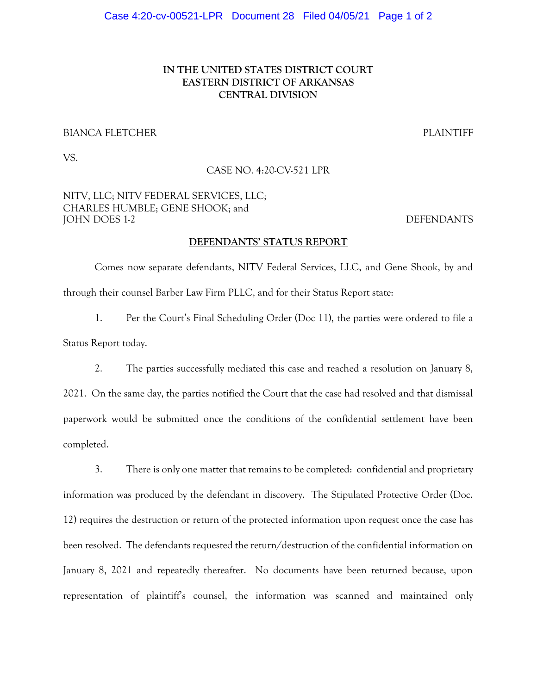# IN THE UNITED STATES DISTRICT COURT EASTERN DISTRICT OF ARKANSAS CENTRAL DIVISION

### BIANCA FLETCHER PLAINTIFF

VS.

### CASE NO. 4:20-CV-521 LPR

## NITV, LLC; NITV FEDERAL SERVICES, LLC; CHARLES HUMBLE; GENE SHOOK; and JOHN DOES 1-2 DEFENDANTS

### DEFENDANTS' STATUS REPORT

 Comes now separate defendants, NITV Federal Services, LLC, and Gene Shook, by and through their counsel Barber Law Firm PLLC, and for their Status Report state:

1. Per the Court's Final Scheduling Order (Doc 11), the parties were ordered to file a Status Report today.

2. The parties successfully mediated this case and reached a resolution on January 8, 2021. On the same day, the parties notified the Court that the case had resolved and that dismissal paperwork would be submitted once the conditions of the confidential settlement have been completed.

3. There is only one matter that remains to be completed: confidential and proprietary information was produced by the defendant in discovery. The Stipulated Protective Order (Doc. 12) requires the destruction or return of the protected information upon request once the case has been resolved. The defendants requested the return/destruction of the confidential information on January 8, 2021 and repeatedly thereafter. No documents have been returned because, upon representation of plaintiff's counsel, the information was scanned and maintained only